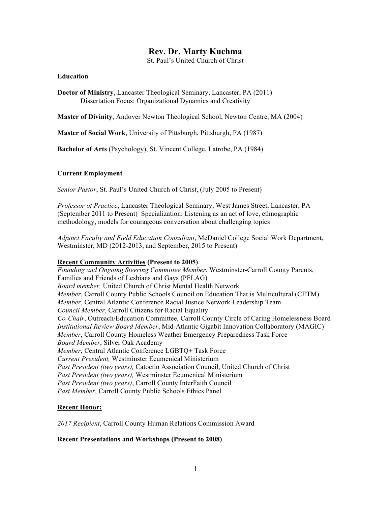# **Rev. Dr. Marty Kuchma**

St. Paul's United Church of Christ

#### **Education**

**Doctor of Ministry**, Lancaster Theological Seminary, Lancaster, PA (2011) Dissertation Focus: Organizational Dynamics and Creativity

**Master of Divinity**, Andover Newton Theological School, Newton Centre, MA (2004)

**Master of Social Work**, University of Pittsburgh, Pittsburgh, PA (1987)

**Bachelor of Arts** (Psychology), St. Vincent College, Latrobe, PA (1984)

## **Current Employment**

*Senior Pastor*, St. Paul's United Church of Christ, (July 2005 to Present)

*Professor of Practice*, Lancaster Theological Seminary, West James Street, Lancaster, PA (September 2011 to Present) Specialization: Listening as an act of love, ethnographic methodology, models for courageous conversation about challenging topics

*Adjunct Faculty and Field Education Consultant*, McDaniel College Social Work Department, Westminster, MD (2012-2013, and September, 2015 to Present)

#### **Recent Community Activities (Present to 2005)**

*Founding and Ongoing Steering Committee Member*, Westminster-Carroll County Parents, Families and Friends of Lesbians and Gays (PFLAG) *Board member,* United Church of Christ Mental Health Network *Member*, Carroll County Public Schools Council on Education That is Multicultural (CETM) *Member*, Central Atlantic Conference Racial Justice Network Leadership Team *Council Member*, Carroll Citizens for Racial Equality *Co-Chair*, Outreach/Education Committee, Carroll County Circle of Caring Homelessness Board *Institutional Review Board Member*, Mid-Atlantic Gigabit Innovation Collaboratory (MAGIC) *Member*, Carroll County Homeless Weather Emergency Preparedness Task Force *Board Member*, Silver Oak Academy *Member*, Central Atlantic Conference LGBTQ+ Task Force *Current President,* Westminster Ecumenical Ministerium *Past President (two years),* Catoctin Association Council, United Church of Christ *Past President (two years),* Westminster Ecumenical Ministerium *Past President (two years)*, Carroll County InterFaith Council *Past Member*, Carroll County Public Schools Ethics Panel

## **Recent Honor:**

*2017 Recipient*, Carroll County Human Relations Commission Award

## **Recent Presentations and Workshops (Present to 2008)**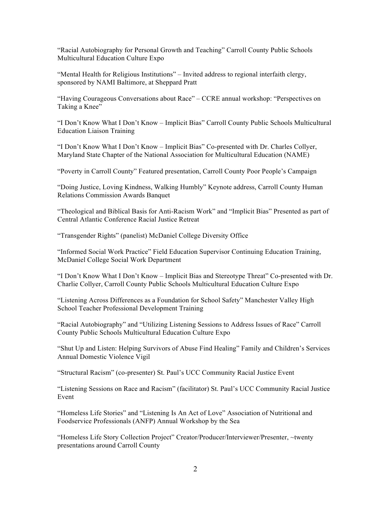"Racial Autobiography for Personal Growth and Teaching" Carroll County Public Schools Multicultural Education Culture Expo

"Mental Health for Religious Institutions" – Invited address to regional interfaith clergy, sponsored by NAMI Baltimore, at Sheppard Pratt

"Having Courageous Conversations about Race" – CCRE annual workshop: "Perspectives on Taking a Knee"

"I Don't Know What I Don't Know – Implicit Bias" Carroll County Public Schools Multicultural Education Liaison Training

"I Don't Know What I Don't Know – Implicit Bias" Co-presented with Dr. Charles Collyer, Maryland State Chapter of the National Association for Multicultural Education (NAME)

"Poverty in Carroll County" Featured presentation, Carroll County Poor People's Campaign

"Doing Justice, Loving Kindness, Walking Humbly" Keynote address, Carroll County Human Relations Commission Awards Banquet

"Theological and Biblical Basis for Anti-Racism Work" and "Implicit Bias" Presented as part of Central Atlantic Conference Racial Justice Retreat

"Transgender Rights" (panelist) McDaniel College Diversity Office

"Informed Social Work Practice" Field Education Supervisor Continuing Education Training, McDaniel College Social Work Department

"I Don't Know What I Don't Know – Implicit Bias and Stereotype Threat" Co-presented with Dr. Charlie Collyer, Carroll County Public Schools Multicultural Education Culture Expo

"Listening Across Differences as a Foundation for School Safety" Manchester Valley High School Teacher Professional Development Training

"Racial Autobiography" and "Utilizing Listening Sessions to Address Issues of Race" Carroll County Public Schools Multicultural Education Culture Expo

"Shut Up and Listen: Helping Survivors of Abuse Find Healing" Family and Children's Services Annual Domestic Violence Vigil

"Structural Racism" (co-presenter) St. Paul's UCC Community Racial Justice Event

"Listening Sessions on Race and Racism" (facilitator) St. Paul's UCC Community Racial Justice Event

"Homeless Life Stories" and "Listening Is An Act of Love" Association of Nutritional and Foodservice Professionals (ANFP) Annual Workshop by the Sea

"Homeless Life Story Collection Project" Creator/Producer/Interviewer/Presenter, ~twenty presentations around Carroll County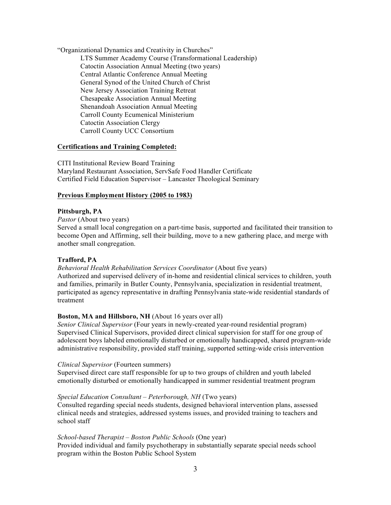"Organizational Dynamics and Creativity in Churches"

LTS Summer Academy Course (Transformational Leadership) Catoctin Association Annual Meeting (two years) Central Atlantic Conference Annual Meeting General Synod of the United Church of Christ New Jersey Association Training Retreat Chesapeake Association Annual Meeting Shenandoah Association Annual Meeting Carroll County Ecumenical Ministerium Catoctin Association Clergy Carroll County UCC Consortium

## **Certifications and Training Completed:**

CITI Institutional Review Board Training Maryland Restaurant Association, ServSafe Food Handler Certificate Certified Field Education Supervisor – Lancaster Theological Seminary

# **Previous Employment History (2005 to 1983)**

# **Pittsburgh, PA**

*Pastor* (About two years)

Served a small local congregation on a part-time basis, supported and facilitated their transition to become Open and Affirming, sell their building, move to a new gathering place, and merge with another small congregation.

# **Trafford, PA**

*Behavioral Health Rehabilitation Services Coordinator* (About five years) Authorized and supervised delivery of in-home and residential clinical services to children, youth and families, primarily in Butler County, Pennsylvania, specialization in residential treatment, participated as agency representative in drafting Pennsylvania state-wide residential standards of treatment

# **Boston, MA and Hillsboro, NH** (About 16 years over all)

*Senior Clinical Supervisor* (Four years in newly-created year-round residential program) Supervised Clinical Supervisors, provided direct clinical supervision for staff for one group of adolescent boys labeled emotionally disturbed or emotionally handicapped, shared program-wide administrative responsibility, provided staff training, supported setting-wide crisis intervention

## *Clinical Supervisor* (Fourteen summers)

Supervised direct care staff responsible for up to two groups of children and youth labeled emotionally disturbed or emotionally handicapped in summer residential treatment program

## *Special Education Consultant – Peterborough, NH* (Two years)

Consulted regarding special needs students, designed behavioral intervention plans, assessed clinical needs and strategies, addressed systems issues, and provided training to teachers and school staff

## *School-based Therapist – Boston Public Schools* (One year)

Provided individual and family psychotherapy in substantially separate special needs school program within the Boston Public School System